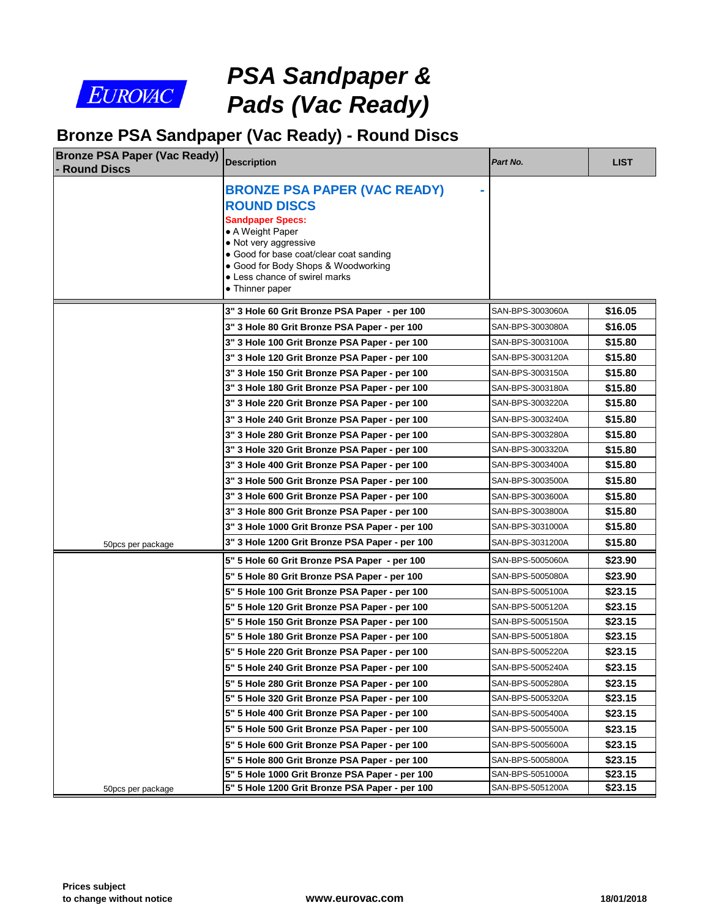

# *PSA Sandpaper & Pads (Vac Ready)*

#### **Bronze PSA Sandpaper (Vac Ready) - Round Discs**

| <b>Bronze PSA Paper (Vac Ready)</b><br><b>Round Discs</b> | <b>Description</b>                                                                                                                                                                                                                                                      | Part No.         |
|-----------------------------------------------------------|-------------------------------------------------------------------------------------------------------------------------------------------------------------------------------------------------------------------------------------------------------------------------|------------------|
|                                                           | <b>BRONZE PSA PAPER (VAC READY)</b><br><b>ROUND DISCS</b><br><b>Sandpaper Specs:</b><br>• A Weight Paper<br>• Not very aggressive<br>• Good for base coat/clear coat sanding<br>• Good for Body Shops & Woodworking<br>• Less chance of swirel marks<br>• Thinner paper |                  |
|                                                           | 3" 3 Hole 60 Grit Bronze PSA Paper - per 100                                                                                                                                                                                                                            | SAN-BPS-3003060A |
|                                                           | 3" 3 Hole 80 Grit Bronze PSA Paper - per 100                                                                                                                                                                                                                            | SAN-BPS-3003080A |
|                                                           | 3" 3 Hole 100 Grit Bronze PSA Paper - per 100                                                                                                                                                                                                                           | SAN-BPS-3003100A |
|                                                           | 3" 3 Hole 120 Grit Bronze PSA Paper - per 100                                                                                                                                                                                                                           | SAN-BPS-3003120A |
|                                                           | 3" 3 Hole 150 Grit Bronze PSA Paper - per 100                                                                                                                                                                                                                           | SAN-BPS-3003150A |
|                                                           | 3" 3 Hole 180 Grit Bronze PSA Paper - per 100                                                                                                                                                                                                                           | SAN-BPS-3003180A |
|                                                           | 3" 3 Hole 220 Grit Bronze PSA Paper - per 100                                                                                                                                                                                                                           | SAN-BPS-3003220A |
|                                                           | 3" 3 Hole 240 Grit Bronze PSA Paper - per 100                                                                                                                                                                                                                           | SAN-BPS-3003240A |
|                                                           | 3" 3 Hole 280 Grit Bronze PSA Paper - per 100                                                                                                                                                                                                                           | SAN-BPS-3003280A |
|                                                           | 3" 3 Hole 320 Grit Bronze PSA Paper - per 100                                                                                                                                                                                                                           | SAN-BPS-3003320A |
|                                                           | 3" 3 Hole 400 Grit Bronze PSA Paper - per 100                                                                                                                                                                                                                           | SAN-BPS-3003400A |
|                                                           | 3" 3 Hole 500 Grit Bronze PSA Paper - per 100                                                                                                                                                                                                                           | SAN-BPS-3003500A |
|                                                           | 3" 3 Hole 600 Grit Bronze PSA Paper - per 100                                                                                                                                                                                                                           | SAN-BPS-3003600A |
|                                                           | 3" 3 Hole 800 Grit Bronze PSA Paper - per 100                                                                                                                                                                                                                           | SAN-BPS-3003800A |
|                                                           | 3" 3 Hole 1000 Grit Bronze PSA Paper - per 100                                                                                                                                                                                                                          | SAN-BPS-3031000A |
| 50pcs per package                                         | 3" 3 Hole 1200 Grit Bronze PSA Paper - per 100                                                                                                                                                                                                                          | SAN-BPS-3031200A |
|                                                           | 5" 5 Hole 60 Grit Bronze PSA Paper - per 100                                                                                                                                                                                                                            | SAN-BPS-5005060A |
|                                                           | 5" 5 Hole 80 Grit Bronze PSA Paper - per 100                                                                                                                                                                                                                            | SAN-BPS-5005080A |
|                                                           | 5" 5 Hole 100 Grit Bronze PSA Paper - per 100                                                                                                                                                                                                                           | SAN-BPS-5005100A |
|                                                           | 5" 5 Hole 120 Grit Bronze PSA Paper - per 100                                                                                                                                                                                                                           | SAN-BPS-5005120A |
|                                                           | 5" 5 Hole 150 Grit Bronze PSA Paper - per 100                                                                                                                                                                                                                           | SAN-BPS-5005150A |
|                                                           | 5" 5 Hole 180 Grit Bronze PSA Paper - per 100                                                                                                                                                                                                                           | SAN-BPS-5005180A |
|                                                           | 5" 5 Hole 220 Grit Bronze PSA Paper - per 100                                                                                                                                                                                                                           | SAN-BPS-5005220A |
|                                                           | 5" 5 Hole 240 Grit Bronze PSA Paper - per 100                                                                                                                                                                                                                           | SAN-BPS-5005240A |
|                                                           | 5" 5 Hole 280 Grit Bronze PSA Paper - per 100                                                                                                                                                                                                                           | SAN-BPS-5005280A |
|                                                           | 5" 5 Hole 320 Grit Bronze PSA Paper - per 100                                                                                                                                                                                                                           | SAN-BPS-5005320A |
|                                                           | 5" 5 Hole 400 Grit Bronze PSA Paper - per 100                                                                                                                                                                                                                           | SAN-BPS-5005400A |
|                                                           | 5" 5 Hole 500 Grit Bronze PSA Paper - per 100                                                                                                                                                                                                                           | SAN-BPS-5005500A |
|                                                           | 5" 5 Hole 600 Grit Bronze PSA Paper - per 100                                                                                                                                                                                                                           | SAN-BPS-5005600A |
|                                                           | 5" 5 Hole 800 Grit Bronze PSA Paper - per 100                                                                                                                                                                                                                           | SAN-BPS-5005800A |
|                                                           | 5" 5 Hole 1000 Grit Bronze PSA Paper - per 100                                                                                                                                                                                                                          | SAN-BPS-5051000A |
| 50pcs per package                                         | 5" 5 Hole 1200 Grit Bronze PSA Paper - per 100                                                                                                                                                                                                                          | SAN-BPS-5051200A |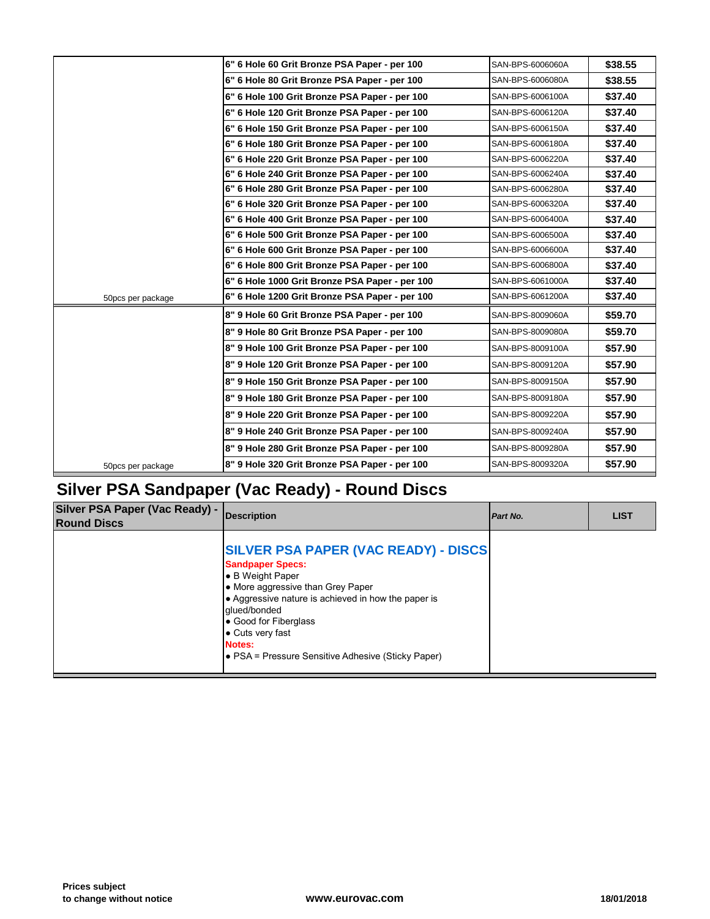|                   | 6" 6 Hole 60 Grit Bronze PSA Paper - per 100   | SAN-BPS-6006060A |
|-------------------|------------------------------------------------|------------------|
|                   | 6" 6 Hole 80 Grit Bronze PSA Paper - per 100   | SAN-BPS-6006080A |
|                   | 6" 6 Hole 100 Grit Bronze PSA Paper - per 100  | SAN-BPS-6006100A |
|                   | 6" 6 Hole 120 Grit Bronze PSA Paper - per 100  | SAN-BPS-6006120A |
|                   | 6" 6 Hole 150 Grit Bronze PSA Paper - per 100  | SAN-BPS-6006150A |
|                   | 6" 6 Hole 180 Grit Bronze PSA Paper - per 100  | SAN-BPS-6006180A |
|                   | 6" 6 Hole 220 Grit Bronze PSA Paper - per 100  | SAN-BPS-6006220A |
|                   | 6" 6 Hole 240 Grit Bronze PSA Paper - per 100  | SAN-BPS-6006240A |
|                   | 6" 6 Hole 280 Grit Bronze PSA Paper - per 100  | SAN-BPS-6006280A |
|                   | 6" 6 Hole 320 Grit Bronze PSA Paper - per 100  | SAN-BPS-6006320A |
|                   | 6" 6 Hole 400 Grit Bronze PSA Paper - per 100  | SAN-BPS-6006400A |
|                   | 6" 6 Hole 500 Grit Bronze PSA Paper - per 100  | SAN-BPS-6006500A |
|                   | 6" 6 Hole 600 Grit Bronze PSA Paper - per 100  | SAN-BPS-6006600A |
|                   | 6" 6 Hole 800 Grit Bronze PSA Paper - per 100  | SAN-BPS-6006800A |
|                   | 6" 6 Hole 1000 Grit Bronze PSA Paper - per 100 | SAN-BPS-6061000A |
| 50pcs per package | 6" 6 Hole 1200 Grit Bronze PSA Paper - per 100 | SAN-BPS-6061200A |
|                   | 8" 9 Hole 60 Grit Bronze PSA Paper - per 100   | SAN-BPS-8009060A |
|                   | 8" 9 Hole 80 Grit Bronze PSA Paper - per 100   | SAN-BPS-8009080A |
|                   | 8" 9 Hole 100 Grit Bronze PSA Paper - per 100  | SAN-BPS-8009100A |
|                   | 8" 9 Hole 120 Grit Bronze PSA Paper - per 100  | SAN-BPS-8009120A |
|                   | 8" 9 Hole 150 Grit Bronze PSA Paper - per 100  | SAN-BPS-8009150A |
|                   | 8" 9 Hole 180 Grit Bronze PSA Paper - per 100  | SAN-BPS-8009180A |
|                   | 8" 9 Hole 220 Grit Bronze PSA Paper - per 100  | SAN-BPS-8009220A |
|                   | 8" 9 Hole 240 Grit Bronze PSA Paper - per 100  | SAN-BPS-8009240A |
|                   | 8" 9 Hole 280 Grit Bronze PSA Paper - per 100  | SAN-BPS-8009280A |
| 50pcs per package | 8" 9 Hole 320 Grit Bronze PSA Paper - per 100  | SAN-BPS-8009320A |
|                   |                                                |                  |

#### **Silver PSA Sandpaper (Vac Ready) - Round Discs**

| Silver PSA Paper (Vac Ready) -<br><b>Round Discs</b> | <b>IDescription</b>                                                                                                                                                                                                                                                                                                | Part No. |  |
|------------------------------------------------------|--------------------------------------------------------------------------------------------------------------------------------------------------------------------------------------------------------------------------------------------------------------------------------------------------------------------|----------|--|
|                                                      | <b>SILVER PSA PAPER (VAC READY) - DISCS</b><br><b>Sandpaper Specs:</b><br>B Weight Paper<br>• More aggressive than Grey Paper<br>• Aggressive nature is achieved in how the paper is<br>glued/bonded<br>• Good for Fiberglass<br>• Cuts very fast<br>Notes:<br> ● PSA = Pressure Sensitive Adhesive (Sticky Paper) |          |  |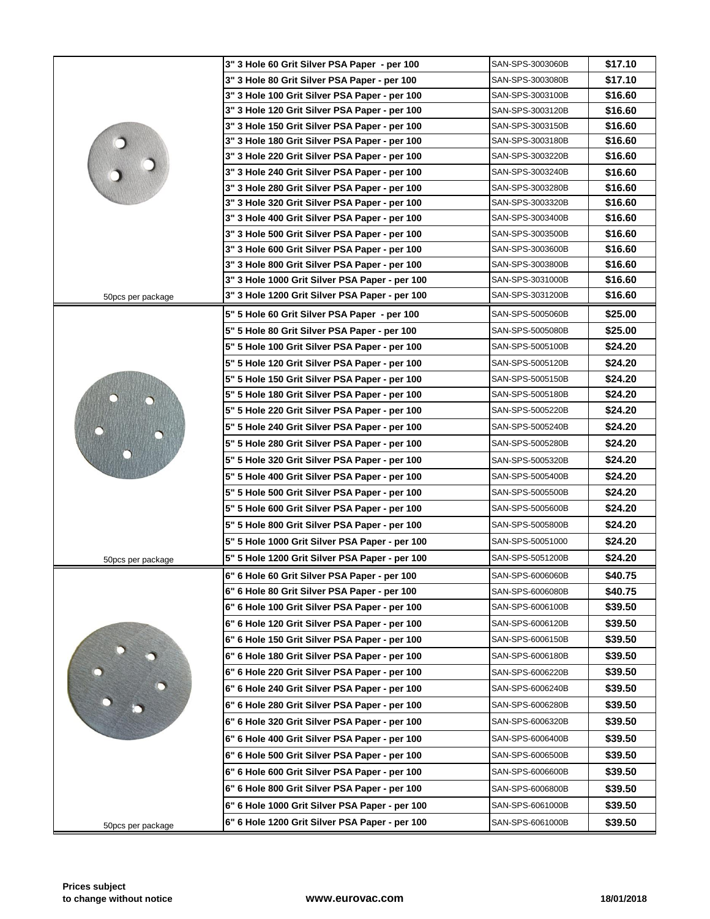|                   | 3" 3 Hole 60 Grit Silver PSA Paper - per 100   | SAN-SPS-3003060B |
|-------------------|------------------------------------------------|------------------|
|                   | 3" 3 Hole 80 Grit Silver PSA Paper - per 100   | SAN-SPS-3003080B |
|                   | 3" 3 Hole 100 Grit Silver PSA Paper - per 100  | SAN-SPS-3003100B |
|                   | 3" 3 Hole 120 Grit Silver PSA Paper - per 100  | SAN-SPS-3003120B |
|                   | 3" 3 Hole 150 Grit Silver PSA Paper - per 100  | SAN-SPS-3003150B |
|                   | 3" 3 Hole 180 Grit Silver PSA Paper - per 100  | SAN-SPS-3003180B |
|                   | 3" 3 Hole 220 Grit Silver PSA Paper - per 100  | SAN-SPS-3003220B |
|                   | 3" 3 Hole 240 Grit Silver PSA Paper - per 100  | SAN-SPS-3003240B |
|                   | 3" 3 Hole 280 Grit Silver PSA Paper - per 100  | SAN-SPS-3003280B |
|                   | 3" 3 Hole 320 Grit Silver PSA Paper - per 100  | SAN-SPS-3003320B |
|                   | 3" 3 Hole 400 Grit Silver PSA Paper - per 100  | SAN-SPS-3003400B |
|                   | 3" 3 Hole 500 Grit Silver PSA Paper - per 100  | SAN-SPS-3003500B |
|                   | 3" 3 Hole 600 Grit Silver PSA Paper - per 100  | SAN-SPS-3003600B |
|                   | 3" 3 Hole 800 Grit Silver PSA Paper - per 100  | SAN-SPS-3003800B |
|                   | 3" 3 Hole 1000 Grit Silver PSA Paper - per 100 | SAN-SPS-3031000B |
| 50pcs per package | 3" 3 Hole 1200 Grit Silver PSA Paper - per 100 | SAN-SPS-3031200B |
|                   | 5" 5 Hole 60 Grit Silver PSA Paper - per 100   | SAN-SPS-5005060B |
|                   | 5" 5 Hole 80 Grit Silver PSA Paper - per 100   | SAN-SPS-5005080B |
|                   | 5" 5 Hole 100 Grit Silver PSA Paper - per 100  | SAN-SPS-5005100B |
|                   | 5" 5 Hole 120 Grit Silver PSA Paper - per 100  | SAN-SPS-5005120B |
|                   | 5" 5 Hole 150 Grit Silver PSA Paper - per 100  | SAN-SPS-5005150B |
|                   | 5" 5 Hole 180 Grit Silver PSA Paper - per 100  | SAN-SPS-5005180B |
|                   | 5" 5 Hole 220 Grit Silver PSA Paper - per 100  | SAN-SPS-5005220B |
|                   | 5" 5 Hole 240 Grit Silver PSA Paper - per 100  | SAN-SPS-5005240B |
|                   | 5" 5 Hole 280 Grit Silver PSA Paper - per 100  | SAN-SPS-5005280B |
|                   | 5" 5 Hole 320 Grit Silver PSA Paper - per 100  | SAN-SPS-5005320B |
|                   | 5" 5 Hole 400 Grit Silver PSA Paper - per 100  | SAN-SPS-5005400B |
|                   | 5" 5 Hole 500 Grit Silver PSA Paper - per 100  | SAN-SPS-5005500B |
|                   | 5" 5 Hole 600 Grit Silver PSA Paper - per 100  | SAN-SPS-5005600B |
|                   | 5" 5 Hole 800 Grit Silver PSA Paper - per 100  | SAN-SPS-5005800B |
|                   | 5" 5 Hole 1000 Grit Silver PSA Paper - per 100 | SAN-SPS-50051000 |
| 50pcs per package | 5" 5 Hole 1200 Grit Silver PSA Paper - per 100 | SAN-SPS-5051200B |
|                   | 6" 6 Hole 60 Grit Silver PSA Paper - per 100   | SAN-SPS-6006060B |
|                   | 6" 6 Hole 80 Grit Silver PSA Paper - per 100   | SAN-SPS-6006080B |
|                   | 6" 6 Hole 100 Grit Silver PSA Paper - per 100  | SAN-SPS-6006100B |
|                   | 6" 6 Hole 120 Grit Silver PSA Paper - per 100  | SAN-SPS-6006120B |
|                   | 6" 6 Hole 150 Grit Silver PSA Paper - per 100  | SAN-SPS-6006150B |
|                   | 6" 6 Hole 180 Grit Silver PSA Paper - per 100  | SAN-SPS-6006180B |
|                   | 6" 6 Hole 220 Grit Silver PSA Paper - per 100  | SAN-SPS-6006220B |
|                   | 6" 6 Hole 240 Grit Silver PSA Paper - per 100  | SAN-SPS-6006240B |
|                   | 6" 6 Hole 280 Grit Silver PSA Paper - per 100  | SAN-SPS-6006280B |
|                   | 6" 6 Hole 320 Grit Silver PSA Paper - per 100  | SAN-SPS-6006320B |
|                   | 6" 6 Hole 400 Grit Silver PSA Paper - per 100  | SAN-SPS-6006400B |
|                   | 6" 6 Hole 500 Grit Silver PSA Paper - per 100  | SAN-SPS-6006500B |
|                   | 6" 6 Hole 600 Grit Silver PSA Paper - per 100  | SAN-SPS-6006600B |
|                   | 6" 6 Hole 800 Grit Silver PSA Paper - per 100  | SAN-SPS-6006800B |
|                   |                                                |                  |
|                   | 6" 6 Hole 1000 Grit Silver PSA Paper - per 100 | SAN-SPS-6061000B |
| 50pcs per package | 6" 6 Hole 1200 Grit Silver PSA Paper - per 100 | SAN-SPS-6061000B |
|                   |                                                |                  |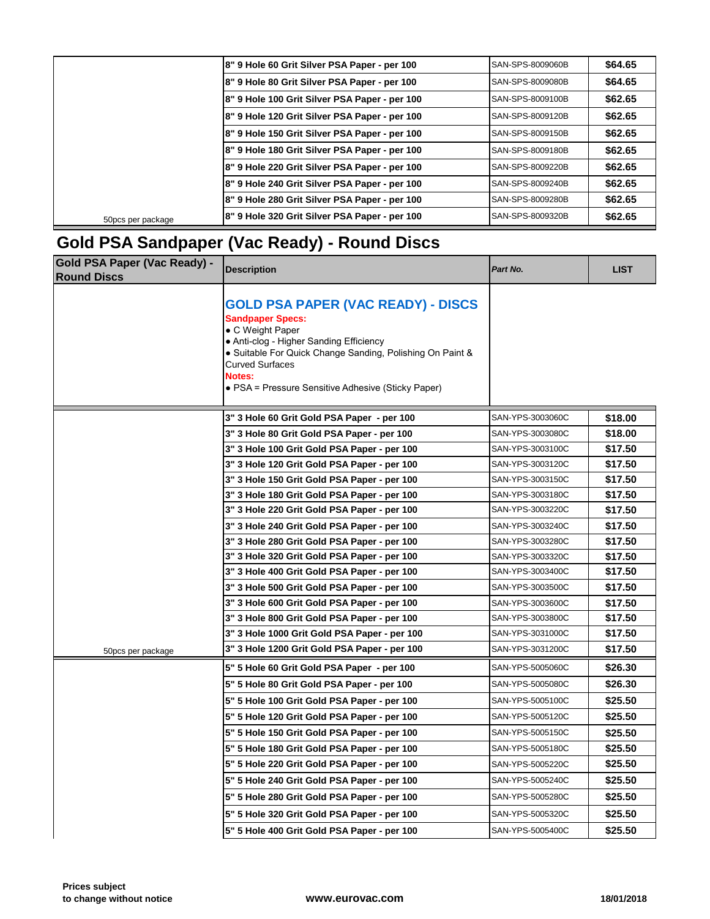|                   | 8" 9 Hole 60 Grit Silver PSA Paper - per 100  | SAN-SPS-8009060B        |
|-------------------|-----------------------------------------------|-------------------------|
|                   | 8" 9 Hole 80 Grit Silver PSA Paper - per 100  | SAN-SPS-8009080B        |
|                   | 8" 9 Hole 100 Grit Silver PSA Paper - per 100 | SAN-SPS-8009100B        |
|                   | 8" 9 Hole 120 Grit Silver PSA Paper - per 100 | <b>SAN-SPS-8009120B</b> |
|                   | 8" 9 Hole 150 Grit Silver PSA Paper - per 100 | SAN-SPS-8009150B        |
|                   | 8" 9 Hole 180 Grit Silver PSA Paper - per 100 | ISAN-SPS-8009180B       |
|                   | 8" 9 Hole 220 Grit Silver PSA Paper - per 100 | SAN-SPS-8009220B        |
|                   | 8" 9 Hole 240 Grit Silver PSA Paper - per 100 | SAN-SPS-8009240B        |
|                   | 8" 9 Hole 280 Grit Silver PSA Paper - per 100 | SAN-SPS-8009280B        |
| 50pcs per package | 8" 9 Hole 320 Grit Silver PSA Paper - per 100 | SAN-SPS-8009320B        |
|                   |                                               |                         |

### **Gold PSA Sandpaper (Vac Ready) - Round Discs**

| <b>Gold PSA Paper (Vac Ready) -</b><br><b>Round Discs</b> | <b>Description</b>                                                                                                                                                                                                                                                                         | Part No.         |
|-----------------------------------------------------------|--------------------------------------------------------------------------------------------------------------------------------------------------------------------------------------------------------------------------------------------------------------------------------------------|------------------|
|                                                           | <b>GOLD PSA PAPER (VAC READY) - DISCS</b><br><b>Sandpaper Specs:</b><br>• C Weight Paper<br>• Anti-clog - Higher Sanding Efficiency<br>• Suitable For Quick Change Sanding, Polishing On Paint &<br><b>Curved Surfaces</b><br>Notes:<br>• PSA = Pressure Sensitive Adhesive (Sticky Paper) |                  |
|                                                           | 3" 3 Hole 60 Grit Gold PSA Paper - per 100                                                                                                                                                                                                                                                 | SAN-YPS-3003060C |
|                                                           | 3" 3 Hole 80 Grit Gold PSA Paper - per 100                                                                                                                                                                                                                                                 | SAN-YPS-3003080C |
|                                                           | 3" 3 Hole 100 Grit Gold PSA Paper - per 100                                                                                                                                                                                                                                                | SAN-YPS-3003100C |
|                                                           | 3" 3 Hole 120 Grit Gold PSA Paper - per 100                                                                                                                                                                                                                                                | SAN-YPS-3003120C |
|                                                           | 3" 3 Hole 150 Grit Gold PSA Paper - per 100                                                                                                                                                                                                                                                | SAN-YPS-3003150C |
|                                                           | 3" 3 Hole 180 Grit Gold PSA Paper - per 100                                                                                                                                                                                                                                                | SAN-YPS-3003180C |
|                                                           | 3" 3 Hole 220 Grit Gold PSA Paper - per 100                                                                                                                                                                                                                                                | SAN-YPS-3003220C |
|                                                           | 3" 3 Hole 240 Grit Gold PSA Paper - per 100                                                                                                                                                                                                                                                | SAN-YPS-3003240C |
|                                                           | 3" 3 Hole 280 Grit Gold PSA Paper - per 100                                                                                                                                                                                                                                                | SAN-YPS-3003280C |
|                                                           | 3" 3 Hole 320 Grit Gold PSA Paper - per 100                                                                                                                                                                                                                                                | SAN-YPS-3003320C |
|                                                           | 3" 3 Hole 400 Grit Gold PSA Paper - per 100                                                                                                                                                                                                                                                | SAN-YPS-3003400C |
|                                                           | 3" 3 Hole 500 Grit Gold PSA Paper - per 100                                                                                                                                                                                                                                                | SAN-YPS-3003500C |
|                                                           | 3" 3 Hole 600 Grit Gold PSA Paper - per 100                                                                                                                                                                                                                                                | SAN-YPS-3003600C |
|                                                           | 3" 3 Hole 800 Grit Gold PSA Paper - per 100                                                                                                                                                                                                                                                | SAN-YPS-3003800C |
|                                                           | 3" 3 Hole 1000 Grit Gold PSA Paper - per 100                                                                                                                                                                                                                                               | SAN-YPS-3031000C |
| 50pcs per package                                         | 3" 3 Hole 1200 Grit Gold PSA Paper - per 100                                                                                                                                                                                                                                               | SAN-YPS-3031200C |
|                                                           | 5" 5 Hole 60 Grit Gold PSA Paper - per 100                                                                                                                                                                                                                                                 | SAN-YPS-5005060C |
|                                                           | 5" 5 Hole 80 Grit Gold PSA Paper - per 100                                                                                                                                                                                                                                                 | SAN-YPS-5005080C |
|                                                           | 5" 5 Hole 100 Grit Gold PSA Paper - per 100                                                                                                                                                                                                                                                | SAN-YPS-5005100C |
|                                                           | 5" 5 Hole 120 Grit Gold PSA Paper - per 100                                                                                                                                                                                                                                                | SAN-YPS-5005120C |
|                                                           | 5" 5 Hole 150 Grit Gold PSA Paper - per 100                                                                                                                                                                                                                                                | SAN-YPS-5005150C |
|                                                           | 5" 5 Hole 180 Grit Gold PSA Paper - per 100                                                                                                                                                                                                                                                | SAN-YPS-5005180C |
|                                                           | 5" 5 Hole 220 Grit Gold PSA Paper - per 100                                                                                                                                                                                                                                                | SAN-YPS-5005220C |
|                                                           | 5" 5 Hole 240 Grit Gold PSA Paper - per 100                                                                                                                                                                                                                                                | SAN-YPS-5005240C |
|                                                           | 5" 5 Hole 280 Grit Gold PSA Paper - per 100                                                                                                                                                                                                                                                | SAN-YPS-5005280C |
|                                                           | 5" 5 Hole 320 Grit Gold PSA Paper - per 100                                                                                                                                                                                                                                                | SAN-YPS-5005320C |
|                                                           | 5" 5 Hole 400 Grit Gold PSA Paper - per 100                                                                                                                                                                                                                                                | SAN-YPS-5005400C |
|                                                           |                                                                                                                                                                                                                                                                                            |                  |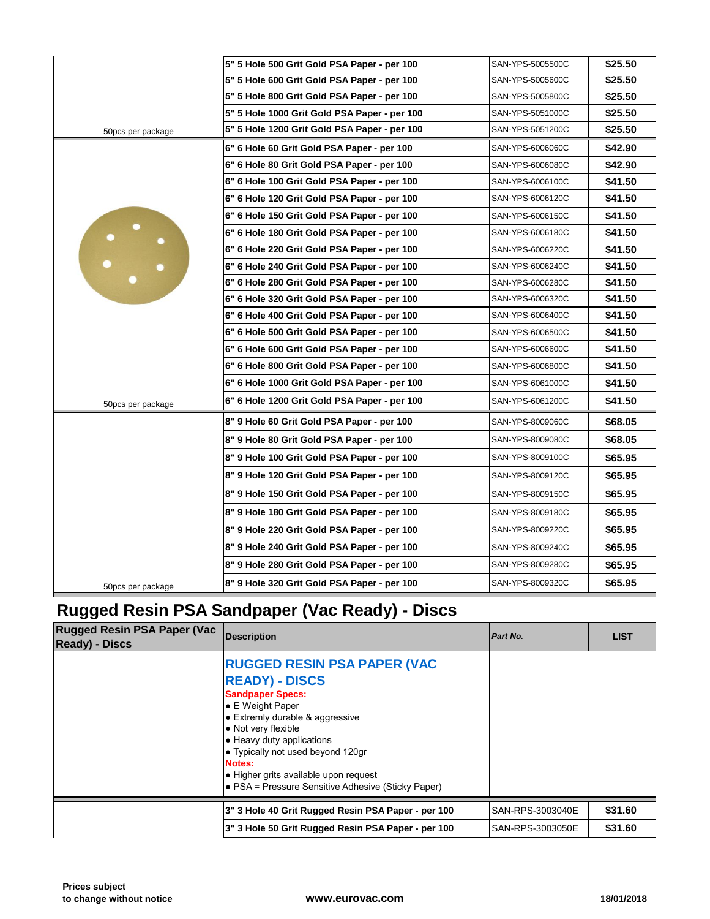|                   | 5" 5 Hole 500 Grit Gold PSA Paper - per 100  | SAN-YPS-5005500C |
|-------------------|----------------------------------------------|------------------|
|                   | 5" 5 Hole 600 Grit Gold PSA Paper - per 100  | SAN-YPS-5005600C |
|                   | 5" 5 Hole 800 Grit Gold PSA Paper - per 100  | SAN-YPS-5005800C |
|                   | 5" 5 Hole 1000 Grit Gold PSA Paper - per 100 | SAN-YPS-5051000C |
| 50pcs per package | 5" 5 Hole 1200 Grit Gold PSA Paper - per 100 | SAN-YPS-5051200C |
|                   | 6" 6 Hole 60 Grit Gold PSA Paper - per 100   | SAN-YPS-6006060C |
|                   | 6" 6 Hole 80 Grit Gold PSA Paper - per 100   | SAN-YPS-6006080C |
|                   | 6" 6 Hole 100 Grit Gold PSA Paper - per 100  | SAN-YPS-6006100C |
|                   | 6" 6 Hole 120 Grit Gold PSA Paper - per 100  | SAN-YPS-6006120C |
|                   | 6" 6 Hole 150 Grit Gold PSA Paper - per 100  | SAN-YPS-6006150C |
| $\bullet$         | 6" 6 Hole 180 Grit Gold PSA Paper - per 100  | SAN-YPS-6006180C |
|                   | 6" 6 Hole 220 Grit Gold PSA Paper - per 100  | SAN-YPS-6006220C |
|                   | 6" 6 Hole 240 Grit Gold PSA Paper - per 100  | SAN-YPS-6006240C |
|                   | 6" 6 Hole 280 Grit Gold PSA Paper - per 100  | SAN-YPS-6006280C |
|                   | 6" 6 Hole 320 Grit Gold PSA Paper - per 100  | SAN-YPS-6006320C |
|                   | 6" 6 Hole 400 Grit Gold PSA Paper - per 100  | SAN-YPS-6006400C |
|                   | 6" 6 Hole 500 Grit Gold PSA Paper - per 100  | SAN-YPS-6006500C |
|                   | 6" 6 Hole 600 Grit Gold PSA Paper - per 100  | SAN-YPS-6006600C |
|                   | 6" 6 Hole 800 Grit Gold PSA Paper - per 100  | SAN-YPS-6006800C |
|                   | 6" 6 Hole 1000 Grit Gold PSA Paper - per 100 | SAN-YPS-6061000C |
| 50pcs per package | 6" 6 Hole 1200 Grit Gold PSA Paper - per 100 | SAN-YPS-6061200C |
|                   | 8" 9 Hole 60 Grit Gold PSA Paper - per 100   | SAN-YPS-8009060C |
|                   | 8" 9 Hole 80 Grit Gold PSA Paper - per 100   | SAN-YPS-8009080C |
|                   | 8" 9 Hole 100 Grit Gold PSA Paper - per 100  | SAN-YPS-8009100C |
|                   | 8" 9 Hole 120 Grit Gold PSA Paper - per 100  | SAN-YPS-8009120C |
|                   | 8" 9 Hole 150 Grit Gold PSA Paper - per 100  | SAN-YPS-8009150C |
|                   | 8" 9 Hole 180 Grit Gold PSA Paper - per 100  | SAN-YPS-8009180C |
|                   | 8" 9 Hole 220 Grit Gold PSA Paper - per 100  | SAN-YPS-8009220C |
|                   | 8" 9 Hole 240 Grit Gold PSA Paper - per 100  | SAN-YPS-8009240C |
|                   | 8" 9 Hole 280 Grit Gold PSA Paper - per 100  | SAN-YPS-8009280C |
| 50pcs per package | 8" 9 Hole 320 Grit Gold PSA Paper - per 100  | SAN-YPS-8009320C |
|                   |                                              |                  |

### **Rugged Resin PSA Sandpaper (Vac Ready) - Discs**

| <b>Rugged Resin PSA Paper (Vac</b><br><b>Ready</b> ) - Discs | <b>IDescription</b>                                                                                                                                                                                                                                                                                                                                            | <b>Part No.</b>  |
|--------------------------------------------------------------|----------------------------------------------------------------------------------------------------------------------------------------------------------------------------------------------------------------------------------------------------------------------------------------------------------------------------------------------------------------|------------------|
|                                                              | <b>RUGGED RESIN PSA PAPER (VAC</b><br><b>READY) - DISCS</b><br><b>Sandpaper Specs:</b><br>$\bullet$ E Weight Paper<br>• Extremly durable & aggressive<br>• Not very flexible<br>• Heavy duty applications<br>• Typically not used beyond 120gr<br><b>Notes:</b><br>• Higher grits available upon request<br>• PSA = Pressure Sensitive Adhesive (Sticky Paper) |                  |
|                                                              | 3" 3 Hole 40 Grit Rugged Resin PSA Paper - per 100                                                                                                                                                                                                                                                                                                             | SAN-RPS-3003040E |
|                                                              | 3" 3 Hole 50 Grit Rugged Resin PSA Paper - per 100                                                                                                                                                                                                                                                                                                             | SAN-RPS-3003050E |
|                                                              |                                                                                                                                                                                                                                                                                                                                                                |                  |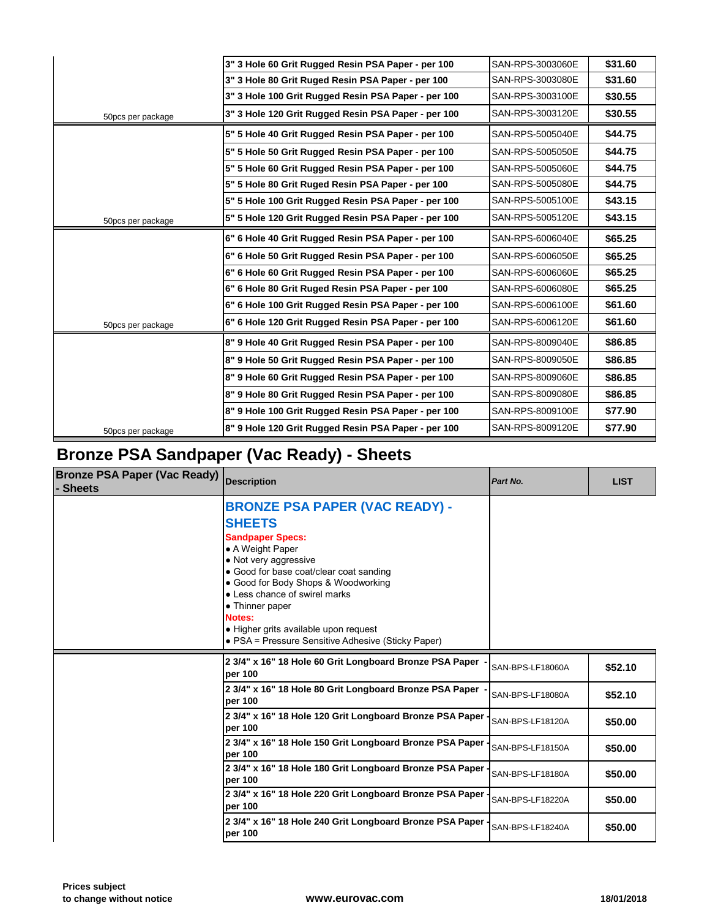|                   | 3" 3 Hole 60 Grit Rugged Resin PSA Paper - per 100  | SAN-RPS-3003060E |
|-------------------|-----------------------------------------------------|------------------|
|                   | 3" 3 Hole 80 Grit Ruged Resin PSA Paper - per 100   | SAN-RPS-3003080E |
|                   | 3" 3 Hole 100 Grit Rugged Resin PSA Paper - per 100 | SAN-RPS-3003100E |
| 50pcs per package | 3" 3 Hole 120 Grit Rugged Resin PSA Paper - per 100 | SAN-RPS-3003120E |
|                   | 5" 5 Hole 40 Grit Rugged Resin PSA Paper - per 100  | SAN-RPS-5005040E |
|                   | 5" 5 Hole 50 Grit Rugged Resin PSA Paper - per 100  | SAN-RPS-5005050E |
|                   | 5" 5 Hole 60 Grit Rugged Resin PSA Paper - per 100  | SAN-RPS-5005060E |
|                   | 5" 5 Hole 80 Grit Ruged Resin PSA Paper - per 100   | SAN-RPS-5005080E |
|                   | 5" 5 Hole 100 Grit Rugged Resin PSA Paper - per 100 | SAN-RPS-5005100E |
| 50pcs per package | 5" 5 Hole 120 Grit Rugged Resin PSA Paper - per 100 | SAN-RPS-5005120E |
|                   | 6" 6 Hole 40 Grit Rugged Resin PSA Paper - per 100  | SAN-RPS-6006040E |
|                   | 6" 6 Hole 50 Grit Rugged Resin PSA Paper - per 100  | SAN-RPS-6006050E |
|                   | 6" 6 Hole 60 Grit Rugged Resin PSA Paper - per 100  | SAN-RPS-6006060E |
|                   | 6" 6 Hole 80 Grit Ruged Resin PSA Paper - per 100   | SAN-RPS-6006080E |
|                   | 6" 6 Hole 100 Grit Rugged Resin PSA Paper - per 100 | SAN-RPS-6006100E |
| 50pcs per package | 6" 6 Hole 120 Grit Rugged Resin PSA Paper - per 100 | SAN-RPS-6006120E |
|                   | 8" 9 Hole 40 Grit Rugged Resin PSA Paper - per 100  | SAN-RPS-8009040E |
|                   | 8" 9 Hole 50 Grit Rugged Resin PSA Paper - per 100  | SAN-RPS-8009050E |
|                   | 8" 9 Hole 60 Grit Rugged Resin PSA Paper - per 100  | SAN-RPS-8009060E |
|                   | 8" 9 Hole 80 Grit Rugged Resin PSA Paper - per 100  | SAN-RPS-8009080E |
|                   | 8" 9 Hole 100 Grit Rugged Resin PSA Paper - per 100 | SAN-RPS-8009100E |
| 50pcs per package | 8" 9 Hole 120 Grit Rugged Resin PSA Paper - per 100 | SAN-RPS-8009120E |
|                   |                                                     |                  |

## **Bronze PSA Sandpaper (Vac Ready) - Sheets**

| <b>Bronze PSA Paper (Vac Ready)</b><br><b>Sheets</b> | <b>Description</b>                                                                                                                                                                                                                                                                                                                                                            | Part No.         |
|------------------------------------------------------|-------------------------------------------------------------------------------------------------------------------------------------------------------------------------------------------------------------------------------------------------------------------------------------------------------------------------------------------------------------------------------|------------------|
|                                                      | <b>BRONZE PSA PAPER (VAC READY) -</b><br><b>SHEETS</b><br><b>Sandpaper Specs:</b><br>• A Weight Paper<br>• Not very aggressive<br>• Good for base coat/clear coat sanding<br>• Good for Body Shops & Woodworking<br>• Less chance of swirel marks<br>• Thinner paper<br>Notes:<br>• Higher grits available upon request<br>• PSA = Pressure Sensitive Adhesive (Sticky Paper) |                  |
|                                                      | 2 3/4" x 16" 18 Hole 60 Grit Longboard Bronze PSA Paper -<br>per 100                                                                                                                                                                                                                                                                                                          | SAN-BPS-LF18060A |
|                                                      | 2 3/4" x 16" 18 Hole 80 Grit Longboard Bronze PSA Paper -<br>per 100                                                                                                                                                                                                                                                                                                          | SAN-BPS-LF18080A |
|                                                      | 2 3/4" x 16" 18 Hole 120 Grit Longboard Bronze PSA Paper -<br>per 100                                                                                                                                                                                                                                                                                                         | SAN-BPS-LF18120A |
|                                                      | 2 3/4" x 16" 18 Hole 150 Grit Longboard Bronze PSA Paper -<br>per 100                                                                                                                                                                                                                                                                                                         | SAN-BPS-LF18150A |
|                                                      | 2 3/4" x 16" 18 Hole 180 Grit Longboard Bronze PSA Paper -<br>per 100                                                                                                                                                                                                                                                                                                         | SAN-BPS-LF18180A |
|                                                      | 2 3/4" x 16" 18 Hole 220 Grit Longboard Bronze PSA Paper -<br>per 100                                                                                                                                                                                                                                                                                                         | SAN-BPS-LF18220A |
|                                                      | 2 3/4" x 16" 18 Hole 240 Grit Longboard Bronze PSA Paper<br>per 100                                                                                                                                                                                                                                                                                                           | SAN-BPS-LF18240A |
|                                                      |                                                                                                                                                                                                                                                                                                                                                                               |                  |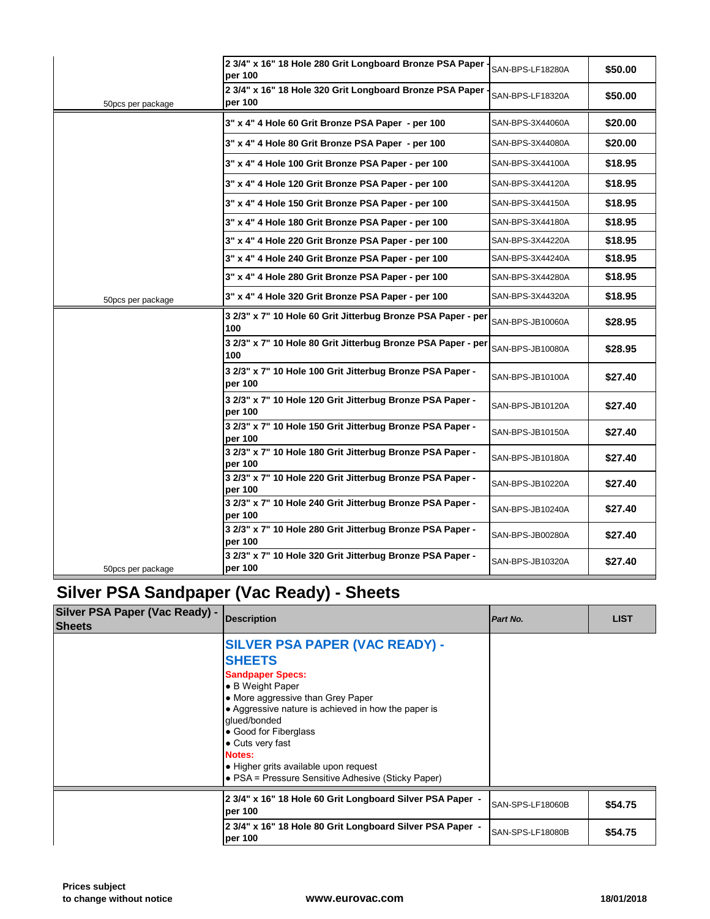|                   | 2 3/4" x 16" 18 Hole 280 Grit Longboard Bronze PSA Paper -<br>per 100 | SAN-BPS-LF18280A |
|-------------------|-----------------------------------------------------------------------|------------------|
| 50pcs per package | 2 3/4" x 16" 18 Hole 320 Grit Longboard Bronze PSA Paper -<br>per 100 | SAN-BPS-LF18320A |
|                   | 3" x 4" 4 Hole 60 Grit Bronze PSA Paper - per 100                     | SAN-BPS-3X44060A |
|                   | 3" x 4" 4 Hole 80 Grit Bronze PSA Paper - per 100                     | SAN-BPS-3X44080A |
|                   | 3" x 4" 4 Hole 100 Grit Bronze PSA Paper - per 100                    | SAN-BPS-3X44100A |
|                   | 3" x 4" 4 Hole 120 Grit Bronze PSA Paper - per 100                    | SAN-BPS-3X44120A |
|                   | 3" x 4" 4 Hole 150 Grit Bronze PSA Paper - per 100                    | SAN-BPS-3X44150A |
|                   | 3" x 4" 4 Hole 180 Grit Bronze PSA Paper - per 100                    | SAN-BPS-3X44180A |
|                   | 3" x 4" 4 Hole 220 Grit Bronze PSA Paper - per 100                    | SAN-BPS-3X44220A |
|                   | 3" x 4" 4 Hole 240 Grit Bronze PSA Paper - per 100                    | SAN-BPS-3X44240A |
|                   | 3" x 4" 4 Hole 280 Grit Bronze PSA Paper - per 100                    | SAN-BPS-3X44280A |
| 50pcs per package | 3" x 4" 4 Hole 320 Grit Bronze PSA Paper - per 100                    | SAN-BPS-3X44320A |
|                   | 3 2/3" x 7" 10 Hole 60 Grit Jitterbug Bronze PSA Paper - per<br>100   | SAN-BPS-JB10060A |
|                   | 3 2/3" x 7" 10 Hole 80 Grit Jitterbug Bronze PSA Paper - per<br>100   | SAN-BPS-JB10080A |
|                   | 3 2/3" x 7" 10 Hole 100 Grit Jitterbug Bronze PSA Paper -<br>per 100  | SAN-BPS-JB10100A |
|                   | 3 2/3" x 7" 10 Hole 120 Grit Jitterbug Bronze PSA Paper -<br>per 100  | SAN-BPS-JB10120A |
|                   | 3 2/3" x 7" 10 Hole 150 Grit Jitterbug Bronze PSA Paper -<br>per 100  | SAN-BPS-JB10150A |
|                   | 3 2/3" x 7" 10 Hole 180 Grit Jitterbug Bronze PSA Paper -<br>per 100  | SAN-BPS-JB10180A |
|                   | 3 2/3" x 7" 10 Hole 220 Grit Jitterbug Bronze PSA Paper -<br>per 100  | SAN-BPS-JB10220A |
|                   | 3 2/3" x 7" 10 Hole 240 Grit Jitterbug Bronze PSA Paper -<br>per 100  | SAN-BPS-JB10240A |
|                   | 3 2/3" x 7" 10 Hole 280 Grit Jitterbug Bronze PSA Paper -<br>per 100  | SAN-BPS-JB00280A |
| 50pcs per package | 3 2/3" x 7" 10 Hole 320 Grit Jitterbug Bronze PSA Paper -<br>per 100  | SAN-BPS-JB10320A |

## **Silver PSA Sandpaper (Vac Ready) - Sheets**

| <b>Silver PSA Paper (Vac Ready) -</b><br><b>Sheets</b> | <b>Description</b>                                                                                                                                                                                                                                                                                                                                                       | Part No.         |
|--------------------------------------------------------|--------------------------------------------------------------------------------------------------------------------------------------------------------------------------------------------------------------------------------------------------------------------------------------------------------------------------------------------------------------------------|------------------|
|                                                        | SILVER PSA PAPER (VAC READY) -<br><b>SHEETS</b><br><b>Sandpaper Specs:</b><br>• B Weight Paper<br>• More aggressive than Grey Paper<br>• Aggressive nature is achieved in how the paper is<br>glued/bonded<br>• Good for Fiberglass<br>$\bullet$ Cuts very fast<br>Notes:<br>• Higher grits available upon request<br>• PSA = Pressure Sensitive Adhesive (Sticky Paper) |                  |
|                                                        | 2 3/4" x 16" 18 Hole 60 Grit Longboard Silver PSA Paper -<br>per 100                                                                                                                                                                                                                                                                                                     | SAN-SPS-LF18060B |
|                                                        | 2 3/4" x 16" 18 Hole 80 Grit Longboard Silver PSA Paper -<br>per 100                                                                                                                                                                                                                                                                                                     | SAN-SPS-LF18080B |
|                                                        |                                                                                                                                                                                                                                                                                                                                                                          |                  |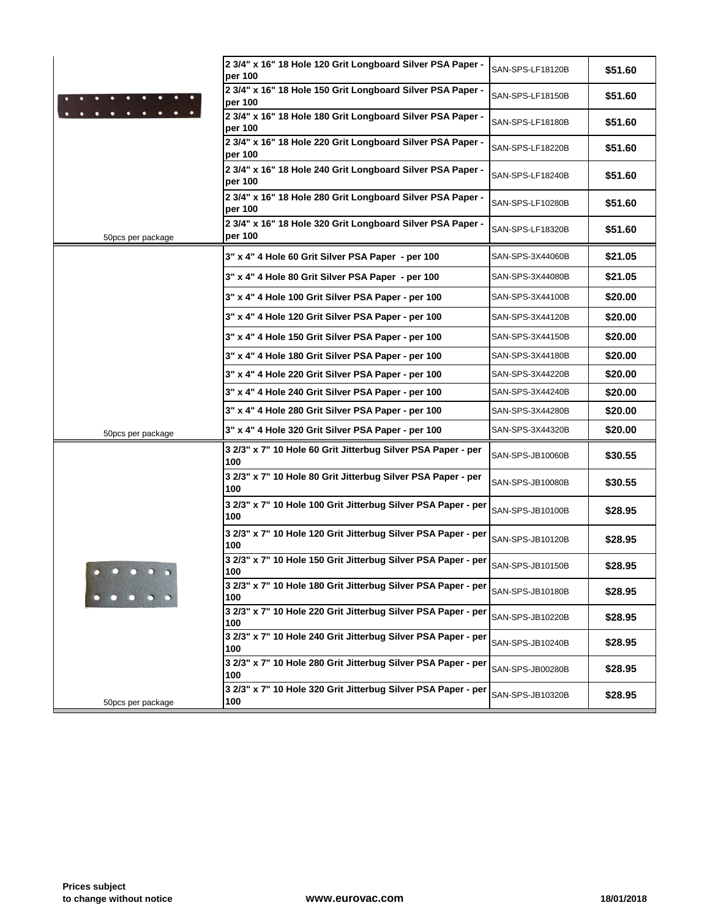|                   | 2 3/4" x 16" 18 Hole 120 Grit Longboard Silver PSA Paper -<br>per 100 | SAN-SPS-LF18120B |
|-------------------|-----------------------------------------------------------------------|------------------|
|                   | 2 3/4" x 16" 18 Hole 150 Grit Longboard Silver PSA Paper -<br>per 100 | SAN-SPS-LF18150B |
|                   | 2 3/4" x 16" 18 Hole 180 Grit Longboard Silver PSA Paper -<br>per 100 | SAN-SPS-LF18180B |
|                   | 2 3/4" x 16" 18 Hole 220 Grit Longboard Silver PSA Paper -<br>per 100 | SAN-SPS-LF18220B |
|                   | 2 3/4" x 16" 18 Hole 240 Grit Longboard Silver PSA Paper -<br>per 100 | SAN-SPS-LF18240B |
|                   | 2 3/4" x 16" 18 Hole 280 Grit Longboard Silver PSA Paper -<br>per 100 | SAN-SPS-LF10280B |
| 50pcs per package | 2 3/4" x 16" 18 Hole 320 Grit Longboard Silver PSA Paper -<br>per 100 | SAN-SPS-LF18320B |
|                   | 3" x 4" 4 Hole 60 Grit Silver PSA Paper - per 100                     | SAN-SPS-3X44060B |
|                   | 3" x 4" 4 Hole 80 Grit Silver PSA Paper - per 100                     | SAN-SPS-3X44080B |
|                   | 3" x 4" 4 Hole 100 Grit Silver PSA Paper - per 100                    | SAN-SPS-3X44100B |
|                   | 3" x 4" 4 Hole 120 Grit Silver PSA Paper - per 100                    | SAN-SPS-3X44120B |
|                   | 3" x 4" 4 Hole 150 Grit Silver PSA Paper - per 100                    | SAN-SPS-3X44150B |
|                   | 3" x 4" 4 Hole 180 Grit Silver PSA Paper - per 100                    | SAN-SPS-3X44180B |
|                   | 3" x 4" 4 Hole 220 Grit Silver PSA Paper - per 100                    | SAN-SPS-3X44220B |
|                   | 3" x 4" 4 Hole 240 Grit Silver PSA Paper - per 100                    | SAN-SPS-3X44240B |
|                   | 3" x 4" 4 Hole 280 Grit Silver PSA Paper - per 100                    | SAN-SPS-3X44280B |
| 50pcs per package | 3" x 4" 4 Hole 320 Grit Silver PSA Paper - per 100                    | SAN-SPS-3X44320B |
|                   | 3 2/3" x 7" 10 Hole 60 Grit Jitterbug Silver PSA Paper - per<br>100   | SAN-SPS-JB10060B |
|                   | 3 2/3" x 7" 10 Hole 80 Grit Jitterbug Silver PSA Paper - per<br>100   | SAN-SPS-JB10080B |
|                   | 3 2/3" x 7" 10 Hole 100 Grit Jitterbug Silver PSA Paper - per<br>100  | SAN-SPS-JB10100B |
|                   | 3 2/3" x 7" 10 Hole 120 Grit Jitterbug Silver PSA Paper - per<br>100  | SAN-SPS-JB10120B |
|                   | 3 2/3" x 7" 10 Hole 150 Grit Jitterbug Silver PSA Paper - per<br>100  | SAN-SPS-JB10150B |
|                   | 3 2/3" x 7" 10 Hole 180 Grit Jitterbug Silver PSA Paper - per<br>100  | SAN-SPS-JB10180B |
|                   | 3 2/3" x 7" 10 Hole 220 Grit Jitterbug Silver PSA Paper - per<br>100  | SAN-SPS-JB10220B |
|                   | 3 2/3" x 7" 10 Hole 240 Grit Jitterbug Silver PSA Paper - per<br>100  | SAN-SPS-JB10240B |
|                   | 3 2/3" x 7" 10 Hole 280 Grit Jitterbug Silver PSA Paper - per<br>100  | SAN-SPS-JB00280B |
| 50pcs per package | 3 2/3" x 7" 10 Hole 320 Grit Jitterbug Silver PSA Paper - per<br>100  | SAN-SPS-JB10320B |
|                   |                                                                       |                  |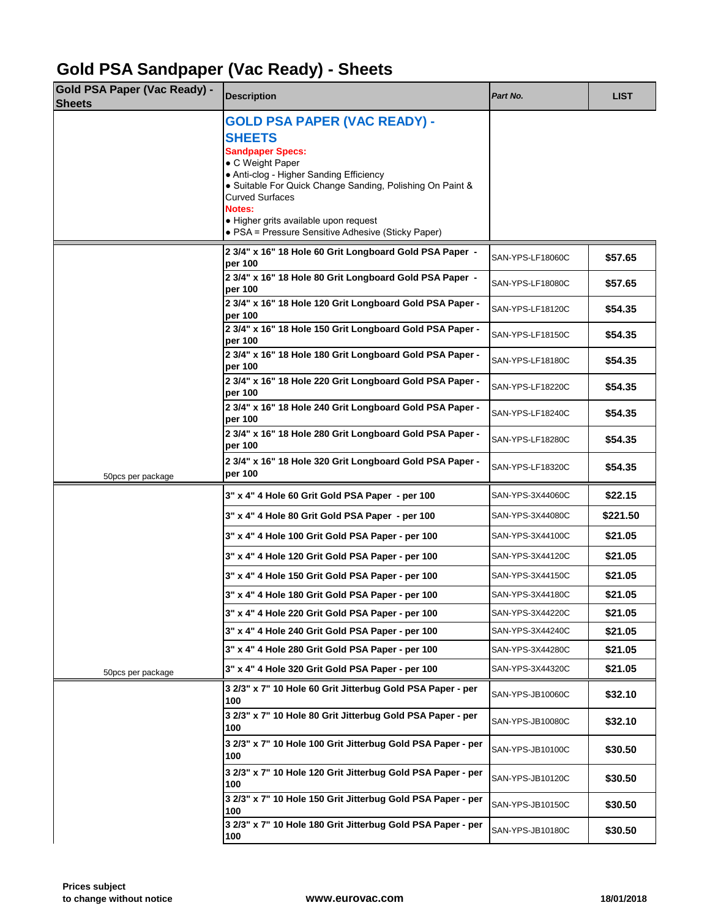# **Gold PSA Sandpaper (Vac Ready) - Sheets**

| <b>Gold PSA Paper (Vac Ready) -</b><br><b>Sheets</b> | <b>Description</b>                                                                                   | Part No.         |  |
|------------------------------------------------------|------------------------------------------------------------------------------------------------------|------------------|--|
|                                                      | <b>GOLD PSA PAPER (VAC READY) -</b>                                                                  |                  |  |
|                                                      | <b>SHEETS</b>                                                                                        |                  |  |
|                                                      | <b>Sandpaper Specs:</b>                                                                              |                  |  |
|                                                      | • C Weight Paper                                                                                     |                  |  |
|                                                      | • Anti-clog - Higher Sanding Efficiency<br>• Suitable For Quick Change Sanding, Polishing On Paint & |                  |  |
|                                                      | <b>Curved Surfaces</b>                                                                               |                  |  |
|                                                      | <b>Notes:</b><br>• Higher grits available upon request                                               |                  |  |
|                                                      | • PSA = Pressure Sensitive Adhesive (Sticky Paper)                                                   |                  |  |
|                                                      | 2 3/4" x 16" 18 Hole 60 Grit Longboard Gold PSA Paper -<br>per 100                                   | SAN-YPS-LF18060C |  |
|                                                      | 2 3/4" x 16" 18 Hole 80 Grit Longboard Gold PSA Paper -<br>per 100                                   | SAN-YPS-LF18080C |  |
|                                                      | 2 3/4" x 16" 18 Hole 120 Grit Longboard Gold PSA Paper -<br>per 100                                  | SAN-YPS-LF18120C |  |
|                                                      | 2 3/4" x 16" 18 Hole 150 Grit Longboard Gold PSA Paper -<br>per 100                                  | SAN-YPS-LF18150C |  |
|                                                      | 2 3/4" x 16" 18 Hole 180 Grit Longboard Gold PSA Paper -<br>per 100                                  | SAN-YPS-LF18180C |  |
|                                                      | 2 3/4" x 16" 18 Hole 220 Grit Longboard Gold PSA Paper -<br>per 100                                  | SAN-YPS-LF18220C |  |
|                                                      | 2 3/4" x 16" 18 Hole 240 Grit Longboard Gold PSA Paper -<br>per 100                                  | SAN-YPS-LF18240C |  |
|                                                      | 2 3/4" x 16" 18 Hole 280 Grit Longboard Gold PSA Paper -<br>per 100                                  | SAN-YPS-LF18280C |  |
| 50pcs per package                                    | 2 3/4" x 16" 18 Hole 320 Grit Longboard Gold PSA Paper -<br>per 100                                  | SAN-YPS-LF18320C |  |
|                                                      | 3" x 4" 4 Hole 60 Grit Gold PSA Paper - per 100                                                      | SAN-YPS-3X44060C |  |
|                                                      | 3" x 4" 4 Hole 80 Grit Gold PSA Paper - per 100                                                      | SAN-YPS-3X44080C |  |
|                                                      | 3" x 4" 4 Hole 100 Grit Gold PSA Paper - per 100                                                     | SAN-YPS-3X44100C |  |
|                                                      | 3" x 4" 4 Hole 120 Grit Gold PSA Paper - per 100                                                     | SAN-YPS-3X44120C |  |
|                                                      | 3" x 4" 4 Hole 150 Grit Gold PSA Paper - per 100                                                     | SAN-YPS-3X44150C |  |
|                                                      | 3" x 4" 4 Hole 180 Grit Gold PSA Paper - per 100                                                     | SAN-YPS-3X44180C |  |
|                                                      | 3" x 4" 4 Hole 220 Grit Gold PSA Paper - per 100                                                     | SAN-YPS-3X44220C |  |
|                                                      | 3" x 4" 4 Hole 240 Grit Gold PSA Paper - per 100                                                     | SAN-YPS-3X44240C |  |
|                                                      | 3" x 4" 4 Hole 280 Grit Gold PSA Paper - per 100                                                     | SAN-YPS-3X44280C |  |
| 50pcs per package                                    | 3" x 4" 4 Hole 320 Grit Gold PSA Paper - per 100                                                     | SAN-YPS-3X44320C |  |
|                                                      | 3 2/3" x 7" 10 Hole 60 Grit Jitterbug Gold PSA Paper - per<br>100                                    | SAN-YPS-JB10060C |  |
|                                                      | 3 2/3" x 7" 10 Hole 80 Grit Jitterbug Gold PSA Paper - per<br>100                                    | SAN-YPS-JB10080C |  |
|                                                      | 3 2/3" x 7" 10 Hole 100 Grit Jitterbug Gold PSA Paper - per<br>100                                   | SAN-YPS-JB10100C |  |
|                                                      | 3 2/3" x 7" 10 Hole 120 Grit Jitterbug Gold PSA Paper - per<br>100                                   | SAN-YPS-JB10120C |  |
|                                                      | 3 2/3" x 7" 10 Hole 150 Grit Jitterbug Gold PSA Paper - per<br>100                                   | SAN-YPS-JB10150C |  |
|                                                      | 3 2/3" x 7" 10 Hole 180 Grit Jitterbug Gold PSA Paper - per<br>100                                   | SAN-YPS-JB10180C |  |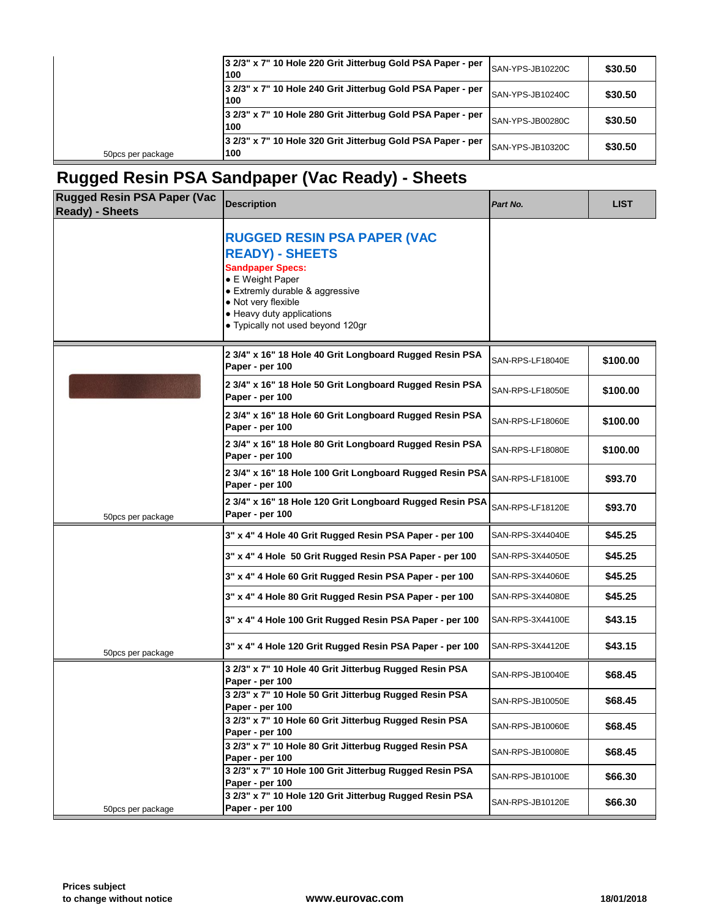| 3 2/3" x 7" 10 Hole 240 Grit Jitterbug Gold PSA Paper - per<br>100                      | SAN-YPS-JB10240C |
|-----------------------------------------------------------------------------------------|------------------|
| 3 2/3" x 7" 10 Hole 280 Grit Jitterbug Gold PSA Paper - per<br>100                      | SAN-YPS-JB00280C |
| 3 2/3" x 7" 10 Hole 320 Grit Jitterbug Gold PSA Paper - per<br>100<br>50pcs per package | SAN-YPS-JB10320C |

### **Rugged Resin PSA Sandpaper (Vac Ready) - Sheets**

| <b>Rugged Resin PSA Paper (Vac</b><br><b>Ready) - Sheets</b> | <b>Description</b>                                                                                                                                                                                                                      | Part No.         |
|--------------------------------------------------------------|-----------------------------------------------------------------------------------------------------------------------------------------------------------------------------------------------------------------------------------------|------------------|
|                                                              | <b>RUGGED RESIN PSA PAPER (VAC</b><br><b>READY) - SHEETS</b><br><b>Sandpaper Specs:</b><br>• E Weight Paper<br>• Extremly durable & aggressive<br>• Not very flexible<br>• Heavy duty applications<br>• Typically not used beyond 120gr |                  |
|                                                              | 2 3/4" x 16" 18 Hole 40 Grit Longboard Rugged Resin PSA<br>Paper - per 100                                                                                                                                                              | SAN-RPS-LF18040E |
|                                                              | 2 3/4" x 16" 18 Hole 50 Grit Longboard Rugged Resin PSA<br>Paper - per 100                                                                                                                                                              | SAN-RPS-LF18050E |
|                                                              | 2 3/4" x 16" 18 Hole 60 Grit Longboard Rugged Resin PSA<br>Paper - per 100                                                                                                                                                              | SAN-RPS-LF18060E |
|                                                              | 2 3/4" x 16" 18 Hole 80 Grit Longboard Rugged Resin PSA<br>Paper - per 100                                                                                                                                                              | SAN-RPS-LF18080E |
|                                                              | 2 3/4" x 16" 18 Hole 100 Grit Longboard Rugged Resin PSA<br>Paper - per 100                                                                                                                                                             | SAN-RPS-LF18100E |
| 50pcs per package                                            | 2 3/4" x 16" 18 Hole 120 Grit Longboard Rugged Resin PSA<br>Paper - per 100                                                                                                                                                             | SAN-RPS-LF18120E |
|                                                              | 3" x 4" 4 Hole 40 Grit Rugged Resin PSA Paper - per 100                                                                                                                                                                                 | SAN-RPS-3X44040E |
|                                                              | 3" x 4" 4 Hole 50 Grit Rugged Resin PSA Paper - per 100                                                                                                                                                                                 | SAN-RPS-3X44050E |
|                                                              | 3" x 4" 4 Hole 60 Grit Rugged Resin PSA Paper - per 100                                                                                                                                                                                 | SAN-RPS-3X44060E |
|                                                              | 3" x 4" 4 Hole 80 Grit Rugged Resin PSA Paper - per 100                                                                                                                                                                                 | SAN-RPS-3X44080E |
|                                                              | 3" x 4" 4 Hole 100 Grit Rugged Resin PSA Paper - per 100                                                                                                                                                                                | SAN-RPS-3X44100E |
| 50pcs per package                                            | 3" x 4" 4 Hole 120 Grit Rugged Resin PSA Paper - per 100                                                                                                                                                                                | SAN-RPS-3X44120E |
|                                                              | 3 2/3" x 7" 10 Hole 40 Grit Jitterbug Rugged Resin PSA<br>Paper - per 100                                                                                                                                                               | SAN-RPS-JB10040E |
|                                                              | 3 2/3" x 7" 10 Hole 50 Grit Jitterbug Rugged Resin PSA<br>Paper - per 100                                                                                                                                                               | SAN-RPS-JB10050E |
|                                                              | 3 2/3" x 7" 10 Hole 60 Grit Jitterbug Rugged Resin PSA<br>Paper - per 100                                                                                                                                                               | SAN-RPS-JB10060E |
|                                                              | 3 2/3" x 7" 10 Hole 80 Grit Jitterbug Rugged Resin PSA<br>Paper - per 100                                                                                                                                                               | SAN-RPS-JB10080E |
|                                                              | 3 2/3" x 7" 10 Hole 100 Grit Jitterbug Rugged Resin PSA<br>Paper - per 100                                                                                                                                                              | SAN-RPS-JB10100E |
| 50pcs per package                                            | 3 2/3" x 7" 10 Hole 120 Grit Jitterbug Rugged Resin PSA<br>Paper - per 100                                                                                                                                                              | SAN-RPS-JB10120E |